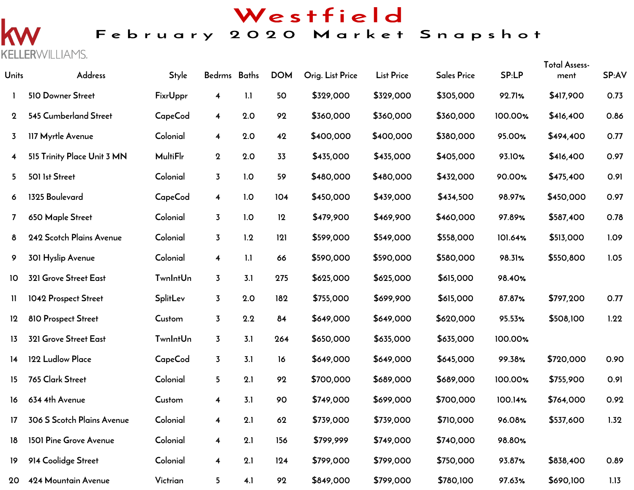# Westfield

## February 2020 Market Snapshot

 $\overline{\mathsf{K}}$ **KELLER**WILLIAMS.

| <b>Units</b> | Address                     | <b>Style</b>    | Bedrms Baths            |     | <b>DOM</b> | Orig. List Price | <b>List Price</b> | <b>Sales Price</b> | SP:LP   | <b>Total Assess-</b><br>ment | SP:AV |
|--------------|-----------------------------|-----------------|-------------------------|-----|------------|------------------|-------------------|--------------------|---------|------------------------------|-------|
| 1.           | 510 Downer Street           | FixrUppr        | 4                       | 1.1 | 50         | \$329,000        | \$329,000         | \$305,000          | 92.71%  | \$417,900                    | 0.73  |
| $\mathbf 2$  | 545 Cumberland Street       | CapeCod         | $\overline{\mathbf{4}}$ | 2.0 | 92         | \$360,000        | \$360,000         | \$360,000          | 100.00% | \$416,400                    | 0.86  |
| 3.           | 117 Myrtle Avenue           | Colonial        | $\overline{\mathbf{4}}$ | 2.0 | 42         | \$400,000        | \$400,000         | \$380,000          | 95.00%  | \$494,400                    | 0.77  |
| 4            | 515 Trinity Place Unit 3 MN | <b>MultiFlr</b> | $\mathbf{2}$            | 2.0 | 33         | \$435,000        | \$435,000         | \$405,000          | 93.10%  | \$416,400                    | 0.97  |
| 5            | 501 1st Street              | Colonial        | $\overline{3}$          | 1.0 | 59         | \$480,000        | \$480,000         | \$432,000          | 90.00%  | \$475,400                    | 0.91  |
| 6.           | 1325 Boulevard              | CapeCod         | $\overline{\mathbf{4}}$ | 1.0 | 104        | \$450,000        | \$439,000         | \$434,500          | 98.97%  | \$450,000                    | 0.97  |
| 7            | 650 Maple Street            | Colonial        | $\overline{3}$          | 1.0 | 12         | \$479,900        | \$469,900         | \$460,000          | 97.89%  | \$587,400                    | 0.78  |
| 8            | 242 Scotch Plains Avenue    | Colonial        | $\overline{3}$          | 1.2 | 121        | \$599,000        | \$549,000         | \$558,000          | 101.64% | \$513,000                    | 1.09  |
| 9            | 301 Hyslip Avenue           | Colonial        | $\overline{\mathbf{4}}$ | 1.1 | 66         | \$590,000        | \$590,000         | \$580,000          | 98.31%  | \$550,800                    | 1.05  |
| 10           | 321 Grove Street East       | <b>TwnIntUn</b> | $\overline{3}$          | 3.1 | 275        | \$625,000        | \$625,000         | \$615,000          | 98.40%  |                              |       |
| 11           | 1042 Prospect Street        | <b>SplitLev</b> | $\overline{3}$          | 2.0 | 182        | \$755,000        | \$699,900         | \$615,000          | 87.87%  | \$797,200                    | 0.77  |
| $12 \,$      | 810 Prospect Street         | Custom          | $\overline{3}$          | 2.2 | 84         | \$649,000        | \$649,000         | \$620,000          | 95.53%  | \$508,100                    | 1.22  |
| 13           | 321 Grove Street East       | <b>TwnIntUn</b> | $\overline{3}$          | 3.1 | 264        | \$650,000        | \$635,000         | \$635,000          | 100.00% |                              |       |
| 14           | 122 Ludlow Place            | CapeCod         | $\overline{3}$          | 3.1 | 16         | \$649,000        | \$649,000         | \$645,000          | 99.38%  | \$720,000                    | 0.90  |
| 15           | 765 Clark Street            | Colonial        | 5 <sub>1</sub>          | 2.1 | 92         | \$700,000        | \$689,000         | \$689,000          | 100.00% | \$755,900                    | 0.91  |
| 16           | 634 4th Avenue              | Custom          | 4                       | 3.1 | 90         | \$749,000        | \$699,000         | \$700,000          | 100.14% | \$764,000                    | 0.92  |
| 17           | 306 S Scotch Plains Avenue  | Colonial        | 4                       | 2.1 | 62         | \$739,000        | \$739,000         | \$710,000          | 96.08%  | \$537,600                    | 1.32  |
| 18           | 1501 Pine Grove Avenue      | Colonial        | $\overline{\mathbf{4}}$ | 2.1 | 156        | \$799,999        | \$749,000         | \$740,000          | 98.80%  |                              |       |
| 19           | 914 Coolidge Street         | Colonial        | $\overline{\mathbf{4}}$ | 2.1 | 124        | \$799,000        | \$799,000         | \$750,000          | 93.87%  | \$838,400                    | 0.89  |
| 20           | 424 Mountain Avenue         | Victrian        | 5 <sub>1</sub>          | 4.1 | 92         | \$849,000        | \$799,000         | \$780,100          | 97.63%  | \$690,100                    | 1.13  |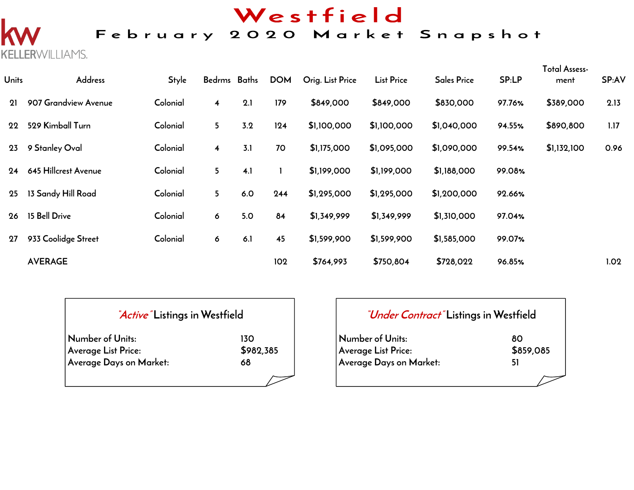# Westfield

## February 2020 Market Snapshot

**KELLER**WILLIAMS.

| <b>Units</b> | Address              | <b>Style</b> | Bedrms Baths            |     | <b>DOM</b> | Orig. List Price | <b>List Price</b> | <b>Sales Price</b> | SP:LP  | Total Assess-<br>ment | SP:AV |
|--------------|----------------------|--------------|-------------------------|-----|------------|------------------|-------------------|--------------------|--------|-----------------------|-------|
| 21           | 907 Grandview Avenue | Colonial     | $\overline{\mathbf{4}}$ | 2.1 | 179        | \$849,000        | \$849,000         | \$830,000          | 97.76% | \$389,000             | 2.13  |
| 22           | 529 Kimball Turn     | Colonial     | 5 <sup>1</sup>          | 3.2 | 124        | \$1,100,000      | \$1,100,000       | \$1,040,000        | 94.55% | \$890,800             | 1.17  |
| 23           | 9 Stanley Oval       | Colonial     | $\overline{\mathbf{4}}$ | 3.1 | 70         | \$1,175,000      | \$1,095,000       | \$1,090,000        | 99.54% | \$1,132,100           | 0.96  |
| 24           | 645 Hillcrest Avenue | Colonial     | 5                       | 4.1 |            | \$1,199,000      | \$1,199,000       | \$1,188,000        | 99.08% |                       |       |
| 25           | 13 Sandy Hill Road   | Colonial     | 5                       | 6.0 | 244        | \$1,295,000      | \$1,295,000       | \$1,200,000        | 92.66% |                       |       |
| 26           | 15 Bell Drive        | Colonial     | 6                       | 5.0 | 84         | \$1,349,999      | \$1,349,999       | \$1,310,000        | 97.04% |                       |       |
| 27           | 933 Coolidge Street  | Colonial     | 6                       | 6.1 | 45         | \$1,599,900      | \$1,599,900       | \$1,585,000        | 99.07% |                       |       |
|              | <b>AVERAGE</b>       |              |                         |     | 102        | \$764,993        | \$750,804         | \$728,022          | 96.85% |                       | 1.02  |

| <i>Active</i> Listings in Westfield |           |
|-------------------------------------|-----------|
| Number of Units:                    | 130       |
| Average List Price:                 | \$982,385 |
| Average Days on Market:             | 68        |
|                                     |           |

| <i>"Under Contract"</i> Listings in Westfield |           |
|-----------------------------------------------|-----------|
| Number of Units:                              | 80        |
| <b>Average List Price:</b>                    | \$859,085 |
| Average Days on Market:                       | 51        |
|                                               |           |